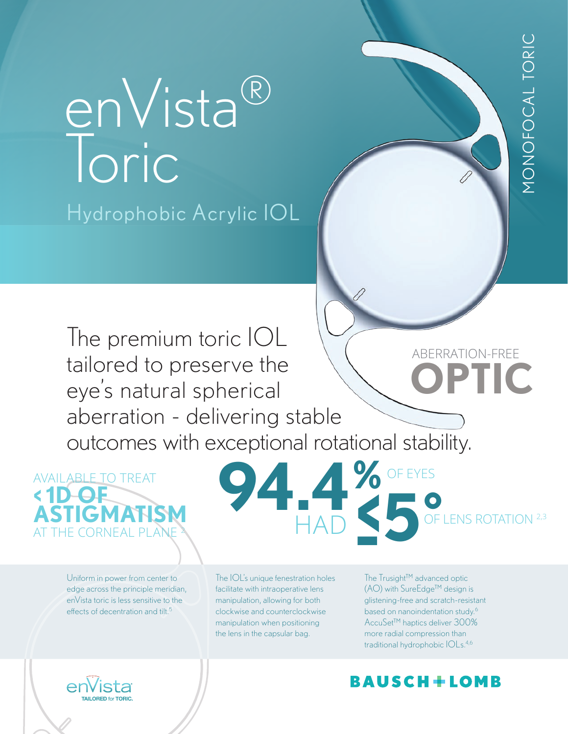**OPTIC** ABERRATION-FREE The premium toric IOL tailored to preserve the eye's natural spherical aberration - delivering stable outcomes with exceptional rotational stability.

AVAILABLE TO TREAT **< 1D OF ASTIGMATISM** THE CORNEAL PLAI

ALLORED for TORIC

Uniform in power from center to edge across the principle meridian, enVista toric is less sensitive to the effects of decentration and tilt.<sup>5</sup>

enVista®

Hydrophobic Acrylic IOL

Toric

OF LENS ROTATION 2,3 **94.4 % HAD -5˚** OF EYES

The IOL's unique fenestration holes facilitate with intraoperative lens manipulation, allowing for both clockwise and counterclockwise manipulation when positioning the lens in the capsular bag.

The Trusight™ advanced optic (AO) with SureEdge™ design is glistening-free and scratch-resistant based on nanoindentation study.6 AccuSet™ haptics deliver 300% more radial compression than traditional hydrophobic IOLs.4,6

# BAUSCH+LOMB